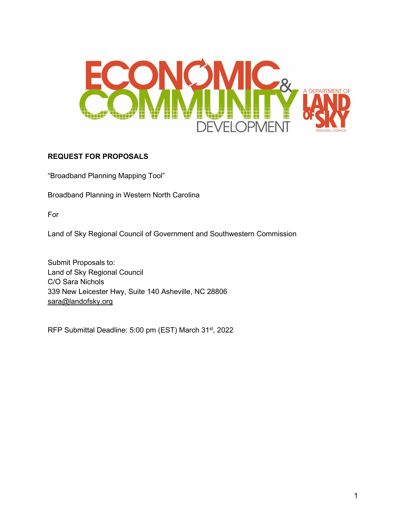

## **REQUEST FOR PROPOSALS**

"Broadband Planning Mapping Tool"

Broadband Planning in Western North Carolina

For

Land of Sky Regional Council of Government and Southwestern Commission

Submit Proposals to: Land of Sky Regional Council C/O Sara Nichols 339 New Leicester Hwy, Suite 140 Asheville, NC 28806 [sara@landofsky.org](mailto:sara@landofsky.org)

RFP Submittal Deadline: 5:00 pm (EST) March 31<sup>st</sup>, 2022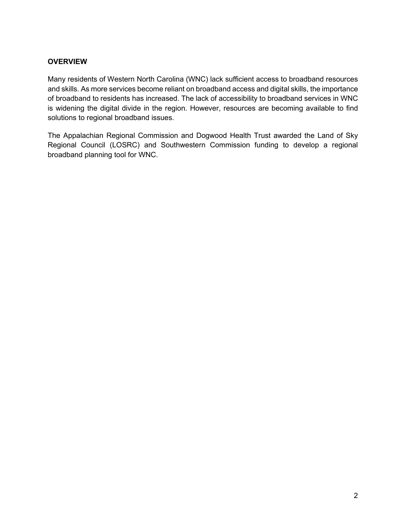## **OVERVIEW**

Many residents of Western North Carolina (WNC) lack sufficient access to broadband resources and skills. As more services become reliant on broadband access and digital skills, the importance of broadband to residents has increased. The lack of accessibility to broadband services in WNC is widening the digital divide in the region. However, resources are becoming available to find solutions to regional broadband issues.

The Appalachian Regional Commission and Dogwood Health Trust awarded the Land of Sky Regional Council (LOSRC) and Southwestern Commission funding to develop a regional broadband planning tool for WNC.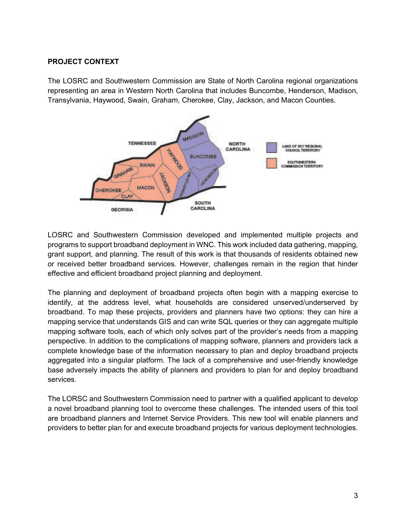### **PROJECT CONTEXT**

The LOSRC and Southwestern Commission are State of North Carolina regional organizations representing an area in Western North Carolina that includes Buncombe, Henderson, Madison, Transylvania, Haywood, Swain, Graham, Cherokee, Clay, Jackson, and Macon Counties.



LOSRC and Southwestern Commission developed and implemented multiple projects and programs to support broadband deployment in WNC. This work included data gathering, mapping, grant support, and planning. The result of this work is that thousands of residents obtained new or received better broadband services. However, challenges remain in the region that hinder effective and efficient broadband project planning and deployment.

The planning and deployment of broadband projects often begin with a mapping exercise to identify, at the address level, what households are considered unserved/underserved by broadband. To map these projects, providers and planners have two options: they can hire a mapping service that understands GIS and can write SQL queries or they can aggregate multiple mapping software tools, each of which only solves part of the provider's needs from a mapping perspective. In addition to the complications of mapping software, planners and providers lack a complete knowledge base of the information necessary to plan and deploy broadband projects aggregated into a singular platform. The lack of a comprehensive and user-friendly knowledge base adversely impacts the ability of planners and providers to plan for and deploy broadband services.

The LORSC and Southwestern Commission need to partner with a qualified applicant to develop a novel broadband planning tool to overcome these challenges. The intended users of this tool are broadband planners and Internet Service Providers. This new tool will enable planners and providers to better plan for and execute broadband projects for various deployment technologies.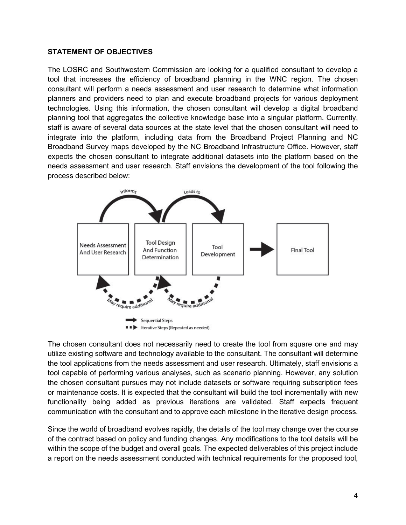#### **STATEMENT OF OBJECTIVES**

The LOSRC and Southwestern Commission are looking for a qualified consultant to develop a tool that increases the efficiency of broadband planning in the WNC region. The chosen consultant will perform a needs assessment and user research to determine what information planners and providers need to plan and execute broadband projects for various deployment technologies. Using this information, the chosen consultant will develop a digital broadband planning tool that aggregates the collective knowledge base into a singular platform. Currently, staff is aware of several data sources at the state level that the chosen consultant will need to integrate into the platform, including data from the Broadband Project Planning and NC Broadband Survey maps developed by the NC Broadband Infrastructure Office. However, staff expects the chosen consultant to integrate additional datasets into the platform based on the needs assessment and user research. Staff envisions the development of the tool following the process described below:



The chosen consultant does not necessarily need to create the tool from square one and may utilize existing software and technology available to the consultant. The consultant will determine the tool applications from the needs assessment and user research. Ultimately, staff envisions a tool capable of performing various analyses, such as scenario planning. However, any solution the chosen consultant pursues may not include datasets or software requiring subscription fees or maintenance costs. It is expected that the consultant will build the tool incrementally with new functionality being added as previous iterations are validated. Staff expects frequent communication with the consultant and to approve each milestone in the iterative design process.

Since the world of broadband evolves rapidly, the details of the tool may change over the course of the contract based on policy and funding changes. Any modifications to the tool details will be within the scope of the budget and overall goals. The expected deliverables of this project include a report on the needs assessment conducted with technical requirements for the proposed tool,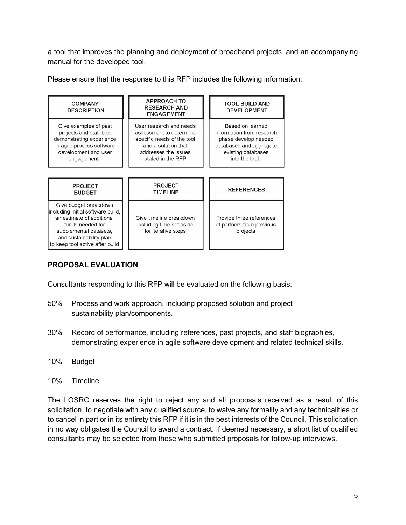a tool that improves the planning and deployment of broadband projects, and an accompanying manual for the developed tool.

Please ensure that the response to this RFP includes the following information:

| <b>COMPANY</b><br><b>DESCRIPTION</b>                                                                                                                                                                | <b>APPROACH TO</b><br><b>RESEARCH AND</b><br><b>ENGAGEMENT</b>                                                                                       | <b>TOOL BUILD AND</b><br><b>DEVELOPMENT</b>                                                                                              |
|-----------------------------------------------------------------------------------------------------------------------------------------------------------------------------------------------------|------------------------------------------------------------------------------------------------------------------------------------------------------|------------------------------------------------------------------------------------------------------------------------------------------|
| Give examples of past<br>projects and staff bios<br>demonstrating experience<br>in agile process software<br>development and user<br>engagement.                                                    | User research and needs<br>assessment to determine<br>specific needs of the tool<br>and a solution that<br>addresses the issues<br>stated in the RFP | Based on learned<br>information from research<br>phase develop needed<br>databases and aggregate<br>existing databases<br>into the tool. |
| <b>PROJECT</b><br><b>BUDGET</b>                                                                                                                                                                     | <b>PROJECT</b><br><b>TIMELINE</b>                                                                                                                    | <b>REFERENCES</b>                                                                                                                        |
| Give budget breakdown<br>including initial software build,<br>an estimate of additional<br>funds needed for<br>supplemental datasets,<br>and sustainability plan<br>to keep tool active after build | Give timeline breakdown<br>including time set aside<br>for iterative steps                                                                           | Provide three references<br>of partners from previous<br>projects                                                                        |

# **PROPOSAL EVALUATION**

Consultants responding to this RFP will be evaluated on the following basis:

- 50% Process and work approach, including proposed solution and project sustainability plan/components.
- 30% Record of performance, including references, past projects, and staff biographies, demonstrating experience in agile software development and related technical skills.
- 10% Budget
- 10% Timeline

The LOSRC reserves the right to reject any and all proposals received as a result of this solicitation, to negotiate with any qualified source, to waive any formality and any technicalities or to cancel in part or in its entirety this RFP if it is in the best interests of the Council. This solicitation in no way obligates the Council to award a contract. If deemed necessary, a short list of qualified consultants may be selected from those who submitted proposals for follow-up interviews.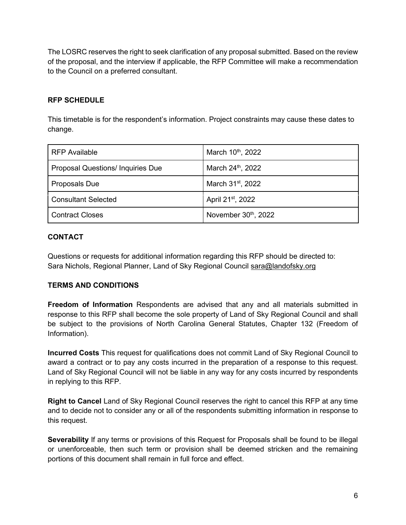The LOSRC reserves the right to seek clarification of any proposal submitted. Based on the review of the proposal, and the interview if applicable, the RFP Committee will make a recommendation to the Council on a preferred consultant.

## **RFP SCHEDULE**

This timetable is for the respondent's information. Project constraints may cause these dates to change.

| <b>RFP Available</b>                     | March 10 <sup>th</sup> , 2022 |
|------------------------------------------|-------------------------------|
| <b>Proposal Questions/ Inquiries Due</b> | March 24th, 2022              |
| Proposals Due                            | March 31 <sup>st</sup> , 2022 |
| <b>Consultant Selected</b>               | April 21 <sup>st</sup> , 2022 |
| <b>Contract Closes</b>                   | November 30th, 2022           |

## **CONTACT**

Questions or requests for additional information regarding this RFP should be directed to: Sara Nichols, Regional Planner, Land of Sky Regional Council [sara@landofsky.org](mailto:sara@landofsky.org)

## **TERMS AND CONDITIONS**

**Freedom of Information** Respondents are advised that any and all materials submitted in response to this RFP shall become the sole property of Land of Sky Regional Council and shall be subject to the provisions of North Carolina General Statutes, Chapter 132 (Freedom of Information).

**Incurred Costs** This request for qualifications does not commit Land of Sky Regional Council to award a contract or to pay any costs incurred in the preparation of a response to this request. Land of Sky Regional Council will not be liable in any way for any costs incurred by respondents in replying to this RFP.

**Right to Cancel** Land of Sky Regional Council reserves the right to cancel this RFP at any time and to decide not to consider any or all of the respondents submitting information in response to this request.

**Severability** If any terms or provisions of this Request for Proposals shall be found to be illegal or unenforceable, then such term or provision shall be deemed stricken and the remaining portions of this document shall remain in full force and effect.